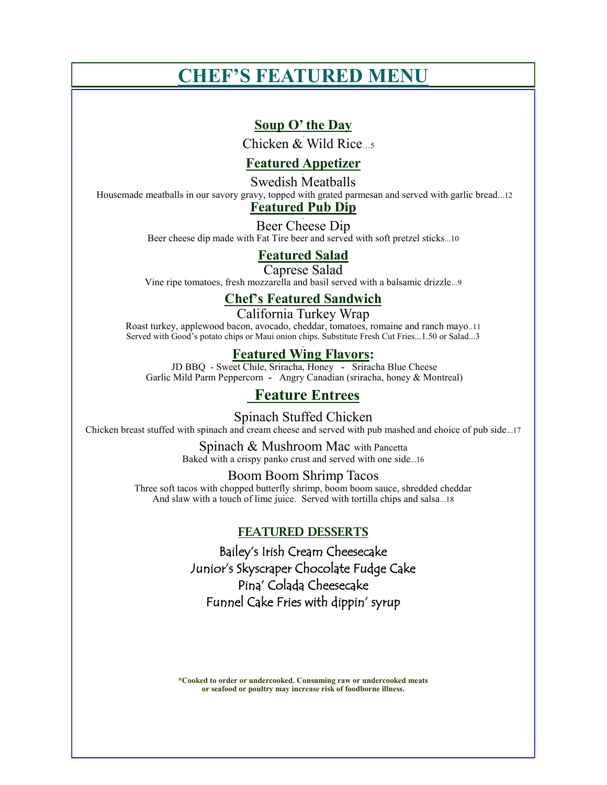# **CHEF'S FEATURED MENU**

## **Soup O' the Day**

Chicken & Wild Rice  $\frac{1}{5}$ 

## **Featured Appetizer**

Swedish Meatballs

Housemade meatballs in our savory gravy, topped with grated parmesan and served with garlic bread...12

# **Featured Pub Dip**

Beer Cheese Dip Beer cheese dip made with Fat Tire beer and served with soft pretzel sticks...10

### **Featured Salad**

Caprese Salad

Vine ripe tomatoes, fresh mozzarella and basil served with a balsamic drizzle...9 

## **Chef's Featured Sandwich**

California Turkey Wrap

Roast turkey, applewood bacon, avocado, cheddar, tomatoes, romaine and ranch mayo..11 Served with Good's potato chips or Maui onion chips. Substitute Fresh Cut Fries...1.50 or Salad...3

### **Featured Wing Flavors:**

JD BBQ - Sweet Chile, Sriracha, Honey **-** Sriracha Blue Cheese Garlic Mild Parm Peppercorn **-** Angry Canadian (sriracha, honey & Montreal)

# **Feature Entrees**

Spinach Stuffed Chicken Chicken breast stuffed with spinach and cream cheese and served with pub mashed and choice of pub side...17

> Spinach & Mushroom Mac with Pancetta Baked with a crispy panko crust and served with one side...16

#### Boom Boom Shrimp Tacos

Three soft tacos with chopped butterfly shrimp, boom boom sauce, shredded cheddar And slaw with a touch of lime juice. Served with tortilla chips and salsa...18

### FEATURED DESSERTS

Bailey's Irish Cream Cheesecake Junior's Skyscraper Chocolate Fudge Cake Pina' Colada Cheesecake Funnel Cake Fries with dippin' syrup

**\*Cooked to order or undercooked. Consuming raw or undercooked meats or seafood or poultry may increase risk of foodborne illness.**